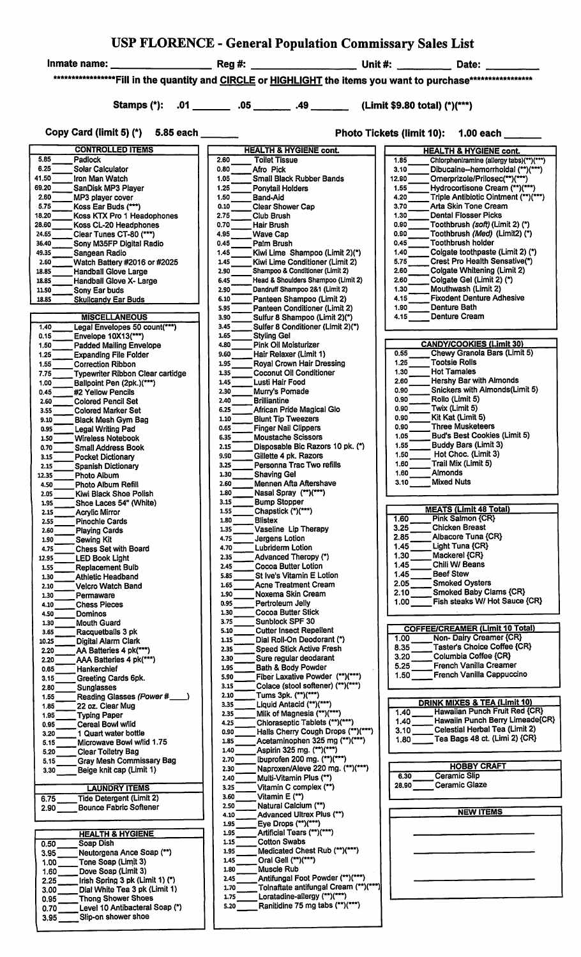|        | USP FLORENCE - General Population Commissary Sales List |       |  |
|--------|---------------------------------------------------------|-------|--|
| Rea #: | Unit #:                                                 | Date: |  |

Inmate name:  $\overline{\phantom{a}}$ 

\*\*\*\*\*\*\*\*\*\*\*\*\*\*\*\*\*\*\*\*Fill in the quantity and CIRCLE or HIGHLIGHT the items you want to purchase\*\*\*\*\*\*\*\*\*\*\*\*\*\*\*\*\*\*\*

Copy Card (limit 5) (\*) 5.85 each \_\_\_\_\_\_

| Photo Tickets (limit 10): 1.00 each |  |
|-------------------------------------|--|
|                                     |  |

| <b>CONTROLLED ITEMS</b>                         | <b>HEALTH &amp; HYGIENE cont.</b>             | <b>HEALTH &amp; HYGIENE cont.</b>                |
|-------------------------------------------------|-----------------------------------------------|--------------------------------------------------|
| 5.85<br>Padlock                                 | 2.60<br><b>Toilet Tissue</b>                  | 1.85<br>Chlorpheniramine (allergy tabs)(**)(***) |
| 6.25<br><b>Solar Calculator</b>                 | 0.80<br>Afro Pick                             | 3.10<br>Dibucaine--hemorrhoidal (**)(***)        |
| 41.50<br>Iron Man Watch                         | 1.05<br><b>Small Black Rubber Bands</b>       | 12.90<br>Omerprizole/Prilosec(**)(***)           |
| 69.20<br>SanDisk MP3 Player                     | 1.25<br><b>Ponytail Holders</b>               | 1.55<br>Hydrocortisone Cream (**)(***)           |
| 2.60<br>MP3 player cover                        | 1.50<br>Band-Aid                              | Triple Antibiotic Ointment (**)(***)<br>4.20     |
| 5.75<br>Koss Ear Buds (***)                     | 0.10<br><b>Clear Shower Cap</b>               | 3.70<br>Arta Skin Tone Cream                     |
| 18.20<br>Koss KTX Pro 1 Headophones             | 2.75<br>Club Brush                            | <b>Dental Flosser Picks</b><br>1.30              |
| 28.60<br>Koss CL-20 Headphones                  | 0.70<br>Hair Brush                            | 0.90<br>Toothbrush (soft) (Limit 2) (*)          |
| 24.65<br>Clear Tunes CT-80 (***)                | 4.95<br><b>Wave Cap</b>                       | 0.90<br>Toothbrush (Med) (Limit2) (*)            |
| 36.40<br>Sony M35FP Digital Radio               | 0.45<br>Palm Brush                            | <b>Toothbrush holder</b><br>0.45                 |
| 49.35                                           | 1.45                                          | 1.40<br>Colgate toothpaste (Limit 2) (*)         |
| Sangean Radio                                   | Kiwi Lime Shampoo (Limit 2)(*)                | Crest Pro Health Sensative(*)<br>5.75            |
| 2.60<br>Watch Battery #2016 or #2025            | Kiwi Lime Conditioner (Limit 2)<br>1.45       | 2.60                                             |
| 18.85<br><b>Handball Glove Large</b>            | Shampoo & Conditioner (Limit 2)<br>2.90       | Colgate Whitening (Limit 2)                      |
| 18.85<br>Handball Glove X- Large                | 6.45<br>Head & Shoulders Shampoo (Limit 2)    | Colgate Gel (Limit 2) (*)<br>2.60                |
| 11.90<br>Sony Ear buds                          | 2.90<br>Dandruff Shampoo 2&1 (Limit 2)        | Mouthwash (Limit 2)<br>1.30                      |
| 18.85<br><b>Skullcandy Ear Buds</b>             | 6.10<br>Panteen Shampoo (Limit 2)             | <b>Fixodent Denture Adhesive</b><br>4.15         |
|                                                 | 5.95<br>Panteen Conditioner (Limit 2)         | Denture Bath<br>1.90                             |
| <b>MISCELLANEOUS</b>                            | 3.90<br>Sulfur 8 Shampoo (Limit 2)(*)         | <b>Denture Cream</b><br>4.15                     |
| Legal Envelopes 50 count(***)<br>1.40           | 3.45<br>Sulfer 8 Conditioner (Limit 2)(*)     |                                                  |
| 0.15<br>Envelope 10X13(***)                     | 1.65<br><b>Styling Gel</b>                    |                                                  |
| 1.50<br><b>Padded Mailing Envelope</b>          | 4.80<br><b>Pink Oil Moisturizer</b>           | <b>CANDY/COOKIES (Limit 30)</b>                  |
| 1.25<br><b>Expanding File Folder</b>            | 9.60<br>Hair Relaxer (Limit 1)                | Chewy Granola Bars (Limit 5)<br>0.55             |
| 1.55<br><b>Correction Ribbon</b>                | 1.95<br>Royal Crown Hair Dressing             | <b>Tootsie Rolls</b><br>1.25                     |
| 7.75<br><b>Typewriter Ribbon Clear cartidge</b> | <b>Coconut Oil Conditioner</b><br>1.35        | 1.30<br><b>Hot Tamales</b>                       |
| 1.00<br>Ballpoint Pen (2pk.)(***)               | 1.45<br>Lusti Hair Food                       | Hershy Bar with Almonds<br>2.60                  |
| 0.45<br>#2 Yellow Pencils                       | 2.30<br>Murry's Pomade                        | Snickers with Almonds(Limit 5)<br>0.90           |
| 2.60<br><b>Colored Pencil Set</b>               | 2.40<br><b>Brilliantine</b>                   | Rollo (Limit 5)<br>0.90                          |
| 3.55<br><b>Colored Marker Set</b>               | African Pride Magical Glo<br>6.25             | Twix (Limit 5)<br>0.90                           |
| 9.10<br><b>Black Mesh Gym Bag</b>               | 1.10<br><b>Blunt Tip Tweezers</b>             | 0.90<br>Kit Kat (Limit 5)                        |
| 0.95<br><b>Legal Writing Pad</b>                | 0.65<br><b>Finger Nail Clippers</b>           | 0.90<br>Three Musketeers                         |
| 1.50<br><b>Wireless Notebook</b>                | 6.35<br><b>Moustache Scissors</b>             | <b>Bud's Best Cookies (Limit 5)</b><br>1.05      |
|                                                 | 2.15<br>Disposable Bic Razors 10 pk. (*)      | Buddy Bars (Limit 3)<br>1.55                     |
| 0.70<br><b>Small Address Book</b>               | 9.90                                          | Hot Choc. (Limit 3)<br>1.50                      |
| 3.15<br><b>Pocket Dictionary</b>                | Gillette 4 pk. Razors                         | 1.60<br>Trail Mix (Limit 5)                      |
| 2.15<br>Spanish Dictionary                      | 3.25<br>Personna Trac Two refills             | <b>Almonds</b><br>1.60                           |
| 12.35<br>Photo Album                            | 1.30<br><b>Shaving Gel</b>                    | Mixed Nuts                                       |
| 4.50<br>Photo Album Refill                      | 2.60<br><b>Mennen Afta Aftershave</b>         | 3.10                                             |
| 2.05<br>Kiwi Black Shoe Polish                  | Nasal Spray (**)(***)<br>1.80                 |                                                  |
| 1.95<br>Shoe Laces 54" (White)                  | 3.15<br><b>Bump Stopper</b>                   |                                                  |
| 2.15<br><b>Acrylic Mirror</b>                   | Chapstick (*)(***)<br>1.55                    | <b>MEATS (Limit 48 Total)</b>                    |
| 2.55<br>Pinochle Cards                          | 1.80<br><b>Blistex</b>                        | Pink Salmon {CR}<br>1.60                         |
| 2.60<br><b>Playing Cards</b>                    | Vaseline Lip Therapy<br>1.35                  | 3.25<br><b>Chicken Breast</b>                    |
| 1.90<br>Sewing Kit                              | Jergens Lotion<br>4.75                        | Albacore Tuna {CR}<br>2.85                       |
| 4.75<br>Chess Set with Board                    | 4.70<br><b>Lubriderm Lotion</b>               | Light Tuna {CR}<br>1.45                          |
| 12.95<br><b>LED Book Light</b>                  | Advanced Theropy (*)<br>2.35                  | 1.30<br>Mackerel {CR}                            |
| 1.55<br>Replacement Buib                        | 2.45<br><b>Cocoa Butter Lotion</b>            | Chili W/ Beans<br>1.45                           |
| 1.30<br>Athletic Headband                       | St Ive's Vitamin E Lotion<br>5.85             | 1.45<br>Beef Stew                                |
| 2.10<br><b>Velcro Watch Band</b>                | <b>Acne Treatment Cream</b><br>1.65           | 2.05<br><b>Smoked Oysters</b>                    |
| 1.30<br>Permaware                               | 1.90<br>Noxema Skin Cream                     | Smoked Baby Clams {CR}<br>2.10                   |
| <b>Chess Pieces</b><br>4.10                     | 0.95<br>Pertroleum Jelly                      | Fish steaks W/ Hot Sauce {CR}<br>1.00            |
| 4.50<br><b>Dominos</b>                          | <b>Cocoa Butter Stick</b><br>1.30             |                                                  |
| 1.30<br><b>Mouth Guard</b>                      | 3.75<br>Sunblock SPF 30                       |                                                  |
| 3.65<br>Racquetballs 3 pk                       | <b>Cutter Insect Repellent</b><br>5.10        | <b>COFFEE/CREAMER (Limit 10 Total)</b>           |
| Digital Alarm Clark<br>10.25                    | Dial Roll-On Deodorant (*)<br>1.15            | Non-Dairy Creamer {CR}<br>1.00                   |
|                                                 | <b>Speed Stick Active Fresh</b><br>2.35       | Taster's Choice Coffee {CR}<br>8.35              |
| AA Batteries 4 pk(***)<br>2.20                  | Sure regular deodarant<br>2.30                | Columbia Coffee {CR}<br>3.20                     |
| AAA Batteries 4 pk(***)<br>2.20                 | <b>Bath &amp; Body Powder</b><br>1.95         | French Vanilla Creamer<br>5.25                   |
| 0.65<br>Hankerchief                             | Fiber Laxative Powder (**)(***)<br>5.90       | French Vanilla Cappuccino<br>1.50                |
| Greeting Cards 6pk.<br>3.15                     | Colace (stool softener) (**)(***)             |                                                  |
| <b>Sunglasses</b><br>2.80                       | 3.15<br>Tums 3pk. (**)(***)<br>2.10           |                                                  |
| 1.55<br>Reading Glasses (Power #                | Liquid Antacid (**)(***)                      | <b>DRINK MIXES &amp; TEA (Limit 10)</b>          |
| 22 oz. Clear Mug<br>1.85                        | 3.35                                          | Hawaiian Punch Fruit Red {CR}<br>1.40            |
| 1.95<br><b>Typing Paper</b>                     | 2.35<br>Milk of Magnesia (**)(***)            | Hawaiin Punch Berry Limeade{CR}<br>1.40          |
| Cereal Bowl w/lid<br>0.95                       | Chloraseptic Tablets (**)(***)<br>4.25        | Celestial Herbal Tea (Limit 2)<br>3.10           |
| 1 Quart water bottle<br>3.20                    | Halls Cherry Cough Drops (**)(***)<br>0.90    | Tea Bags 48 ct. (Limi 2) {CR}<br>1.80            |
| Microwave Bowl w/lid 1.75<br>5.15               | Acetaminophen 325 mg (**)(***)<br>1.85        |                                                  |
| 5.20<br>Clear Toiletry Bag                      | Aspirin 325 mg. (**)(***)<br>1.40             |                                                  |
| <b>Gray Mesh Commissary Bag</b><br>5.15         | 2.70<br>lbuprofen 200 mg. (**)(***)           | <b>HOBBY CRAFT</b>                               |
| Beige knit cap (Limit 1)<br>3.30                | Naproxen/Aleve 220 mg. (**)(***)<br>2.30      |                                                  |
|                                                 | Multi-Vitamin Plus (**)<br>2.40               | <b>Ceramic Slip</b><br>6.30                      |
| <b>LAUNDRY ITEMS</b>                            | Vitamin C complex (**)<br>3.25                | Ceramic Glaze<br>28.90                           |
| <b>Tide Detergent (Limit 2)</b><br>6.75         | Vitamin E (**)<br>3.60                        |                                                  |
| <b>Bounce Fabric Softener</b><br>2.90           | Natural Calcium (**)<br>2.50                  |                                                  |
|                                                 | Advanced Ultrex Plus (**)<br>4.10             | <b>NEW ITEMS</b>                                 |
|                                                 | Eye Drops (**)(***)<br>1.95                   |                                                  |
| <b>HEALTH &amp; HYGIENE</b>                     | Artificial Tears (**)(***)<br>1.95            |                                                  |
| Soap Dish<br>0.50                               | <b>Cotton Swabs</b><br>1.15                   |                                                  |
| Neutorgena Ance Soap (**)<br>3.95               | Medicated Chest Rub (**)(***)<br>1.95         |                                                  |
| Tone Soap (Limit 3)<br>1.00                     | Oral Gell (**)(***)<br>1.45                   |                                                  |
| Dove Soap (Limit 3)<br>1.60                     | Muscle Rub<br>1.80                            |                                                  |
| Irish Spring 3 pk (Limit 1) (*)<br>2.25         | Antifungal Foot Powder (**)(***)<br>2.45      |                                                  |
| Dial White Tea 3 pk (Limit 1)<br>3.00           | Tolnaftate antifungal Cream (**)(***)<br>1.70 |                                                  |
| <b>Thong Shower Shoes</b><br>0.95               | Loratadine-allergy (**)(***)<br>1.75          |                                                  |
|                                                 |                                               |                                                  |
| Level 10 Antibacteral Soap (*)                  | Ranitidine 75 mg tabs (**)(***)<br>5.20       |                                                  |
| 0.70<br>Slip-on shower shoe<br>3.95             |                                               |                                                  |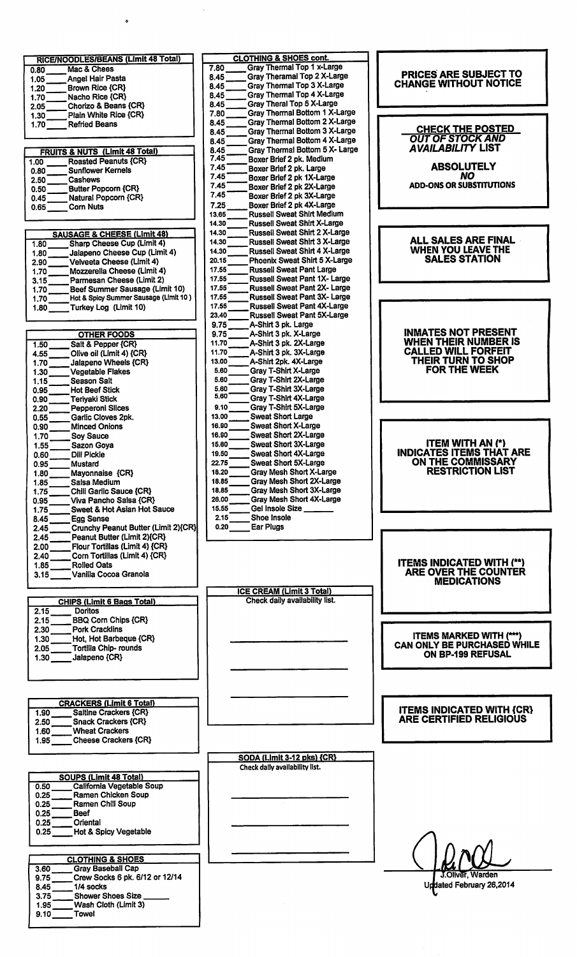| RICE/NOODLES/BEANS (Limit 48 Total)                         | <b>CLOTHING &amp; SHOES cont.</b>                                          |                                                           |
|-------------------------------------------------------------|----------------------------------------------------------------------------|-----------------------------------------------------------|
| Mac & Chees<br>0.80                                         | Gray Thermal Top 1 x-Large<br>7.80<br>Gray Theramal Top 2 X-Large<br>8.45  | PRICES ARE SUBJECT TO                                     |
| <b>Angel Hair Pasta</b><br>1.05<br>Brown Rice {CR}<br>1.20  | Gray Thermal Top 3 X-Large<br>8.45                                         | <b>CHANGE WITHOUT NOTICE</b>                              |
| Nacho Rice {CR}<br>1.70                                     | Gray Thermal Top 4 X-Large<br>8.45                                         |                                                           |
| Chorizo & Beans {CR}<br>2.05                                | Gray Theral Top 5 X-Large<br>8.45                                          |                                                           |
| Plain White Rice {CR}<br>1.30                               | Gray Thermal Bottom 1 X-Large<br>7.80                                      |                                                           |
| 1.70<br><b>Refried Beans</b>                                | Gray Thermal Bottom 2 X-Large<br>8.45                                      | <b>CHECK THE POSTED</b>                                   |
|                                                             | Gray Thermal Bottom 3 X-Large<br>8.45                                      | <b>OUT OF STOCK AND</b>                                   |
|                                                             | Gray Thermal Bottom 4 X-Large<br>8.45                                      | <b>AVAILABILITY LIST</b>                                  |
| <b>FRUITS &amp; NUTS (Limit 48 Total)</b>                   | Gray Thermal Bottom 5 X- Large<br>8.45<br>7.45<br>Boxer Brief 2 pk. Medium |                                                           |
| <b>Roasted Peanuts {CR}</b><br>1.00                         | 7.45<br>Boxer Brief 2 pk. Large                                            | <b>ABSOLUTELY</b>                                         |
| <b>Sunflower Kernels</b><br>0.80<br>Cashews                 | 7.45<br>Boxer Brief 2 pk 1X-Large                                          | NO.                                                       |
| 2.50<br><b>Butter Popcorn {CR}</b><br>0.50                  | 7.45<br>Boxer Brief 2 pk 2X-Large                                          | <b>ADD-ONS OR SUBSTITUTIONS</b>                           |
| Natural Popcorn {CR}<br>0.45                                | 7.45<br>Boxer Brief 2 pk 3X-Large                                          |                                                           |
| 0.65<br><b>Corn Nuts</b>                                    | Boxer Brief 2 pk 4X-Large<br>7.25                                          |                                                           |
|                                                             | <b>Russell Sweat Shirt Medium</b><br>13,65                                 |                                                           |
|                                                             | 14.30<br><b>Russell Sweat Shirt X-Large</b>                                |                                                           |
| <b>SAUSAGE &amp; CHEESE (Limit 48)</b>                      | 14.30<br><b>Russell Sweat Shirt 2 X-Large</b>                              |                                                           |
| <b>Sharp Cheese Cup (Limit 4)</b><br>1.80                   | 14.30<br><b>Russell Sweat Shirt 3 X-Large</b>                              | <b>ALL SALES ARE FINAL</b>                                |
| Jalapeno Cheese Cup (Limit 4)<br>1.80                       | 14.30<br><b>Russell Sweat Shirt 4 X-Large</b>                              | <b>WHEN YOU LEAVE THE</b>                                 |
| Velveeta Cheese (Limit 4)<br>2.90                           | 20.15<br>Phoenix Sweat Shirt 5 X-Large                                     | <b>SALES STATION</b>                                      |
| Mozzerella Cheese (Limit 4)<br>1.70                         | 17.55<br><b>Russell Sweat Pant Large</b>                                   |                                                           |
| Parmesan Cheese (Limit 2)<br>3.15                           | 17.55<br><b>Russell Sweat Pant 1X- Large</b>                               |                                                           |
| Beef Summer Sausage (Limit 10)<br>1.70                      | 17.55<br><b>Russell Sweat Pant 2X- Large</b>                               |                                                           |
| Hot & Spicy Summer Sausage (Limit 10)<br>1.70               | 17.55<br><b>Russell Sweat Pant 3X- Large</b>                               |                                                           |
| Turkey Log (Limit 10)<br>1.80                               | 17.55<br><b>Russell Sweat Pant 4X-Large</b><br>23.40                       |                                                           |
|                                                             | <b>Russell Sweat Pant 5X-Large</b><br>9.75<br>A-Shirt 3 pk. Large          |                                                           |
| <b>OTHER FOODS</b>                                          | 9.75<br>A-Shirt 3 pk. X-Large                                              | <b>INMATES NOT PRESENT</b>                                |
| 1.50<br>Salt & Pepper {CR}                                  | A-Shirt 3 pk. 2X-Large<br>11.70                                            | <b>WHEN THEIR NUMBER IS</b>                               |
| Olive oil (Limit 4) {CR}<br>4.55                            | 11.70<br>A-Shirt 3 pk. 3X-Large                                            | <b>CALLED WILL FORFEIT</b>                                |
| 1,70<br>Jalapeno Wheels {CR}                                | 13.00<br>A-Shirt 2pk. 4X-Large                                             | THEIR TURN TO SHOP                                        |
| 1.30<br><b>Vegetable Flakes</b>                             | 5.60<br>Gray T-Shirt X-Large                                               | FOR THE WEEK                                              |
| 1.15<br><b>Season Salt</b>                                  | 5.60<br>Gray T-Shirt 2X-Large                                              |                                                           |
| 0.95<br><b>Hot Beef Stick</b>                               | 5.60<br>Gray T-Shirt 3X-Large                                              |                                                           |
| <b>Teriyaki Stick</b><br>0.90                               | 5,60<br>Gray T-Shirt 4X-Large                                              |                                                           |
| 2.20<br><b>Pepperoni Slices</b>                             | 9.10<br>Gray T-Shirt 5X-Large                                              |                                                           |
| 0.55<br>Garlic Cloves 2pk.                                  | 13.00<br><b>Sweat Short Large</b>                                          |                                                           |
| <b>Minced Onions</b><br>0.90                                | 16.90<br><b>Sweat Short X-Large</b>                                        |                                                           |
| 1.70<br><b>Sov Sauce</b>                                    | 16.90<br><b>Sweat Short 2X-Large</b>                                       |                                                           |
| 1.55<br>Sazon Goya                                          | 15.60<br><b>Sweat Short 3X-Large</b>                                       | <b>ITEM WITH AN (*)</b><br><b>INDICATES ITEMS THAT AR</b> |
| 0.60<br>Dill Pickle                                         | 19.50<br><b>Sweat Short 4X-Large</b>                                       | ON THE COMMISSARY                                         |
| 0.95<br><b>Mustard</b>                                      | 22.75<br><b>Sweat Short 5X-Large</b><br><b>Gray Mesh Short X-Large</b>     | <b>RESTRICTION LIST</b>                                   |
| Mayonnaise {CR}<br>1.80                                     | 18.20<br><b>Gray Mesh Short 2X-Large</b><br>18.85                          |                                                           |
| 1.85<br>Salsa Medium<br>Chili Garlic Sauce {CR}<br>1.75     | Grav Mesh Short 3X-Large<br>18.85                                          |                                                           |
| Viva Pancho Salsa {CR}<br>0.95                              | Gray Mesh Short 4X-Large<br>26.00                                          |                                                           |
| 1.75<br>Sweet & Hot Asian Hot Sauce                         | Gel Insole Size<br>15.55                                                   |                                                           |
| 8.45<br><b>Egg Sense</b>                                    | Shoe Insole<br>2.15                                                        |                                                           |
| Crunchy Peanut Butter (Limit 2){CR}<br>2.45                 | 0.20<br>Ear Plugs                                                          |                                                           |
| Peanut Butter (Limit 2){CR}<br>2.45                         |                                                                            |                                                           |
| Flour Tortillas (Limit 4) {CR}<br>2.00                      |                                                                            |                                                           |
| Corn Tortillas (Limit 4) {CR}<br>2.40                       |                                                                            |                                                           |
| <b>Rolled Oats</b><br>1.85                                  |                                                                            | <b>ITEMS INDICATED WITH (**)</b>                          |
| Vanilla Cocoa Granola<br>3.15                               |                                                                            | ARE OVER THE COUNTER                                      |
|                                                             |                                                                            | <b>MEDICATIONS</b>                                        |
|                                                             | <b>ICE CREAM (Limit 3 Total)</b>                                           |                                                           |
| <b>CHIPS (Limit 6 Bags Total)</b>                           | Check daily availability list.                                             |                                                           |
| 2.15<br><b>Doritos</b>                                      |                                                                            |                                                           |
| <b>BBQ Corn Chips {CR}</b><br>2.15<br><b>Pork Cracklins</b> |                                                                            |                                                           |
| 2.30<br>Hot, Hot Barbeque {CR}                              |                                                                            | <b>ITEMS MARKED WITH (***)</b>                            |
| 1.30<br>Tortilla Chip- rounds<br>2.05                       |                                                                            | CAN ONLY BE PURCHASED WI                                  |
| Jalapeno {CR}<br>1.30                                       |                                                                            | ON BP-199 REFUSAL                                         |
|                                                             |                                                                            |                                                           |
|                                                             |                                                                            |                                                           |
|                                                             |                                                                            |                                                           |
|                                                             |                                                                            |                                                           |
| <b>CRACKERS (Limit 6 Total)</b>                             |                                                                            |                                                           |
| <b>Saltine Crackers {CR}</b><br>1.90                        |                                                                            | <b>ITEMS INDICATED WITH {C</b>                            |
| 2.50<br><b>Snack Crackers {CR}</b>                          |                                                                            | ARE CERTIFIED RELIGIOUS                                   |
| <b>Wheat Crackers</b><br>1.60                               |                                                                            |                                                           |
| <b>Cheese Crackers {CR}</b><br>1.95                         |                                                                            |                                                           |
|                                                             | SODA (Limit 3-12 pks) {CR}                                                 |                                                           |
|                                                             | Check daily availability list.                                             |                                                           |
| <b>SOUPS (Limit 48 Total)</b>                               |                                                                            |                                                           |
| California Vegetable Soup<br>0.50                           |                                                                            |                                                           |
| Ramen Chicken Soup<br>0.25                                  |                                                                            |                                                           |
| 0.25<br>Ramen Chili Soup                                    |                                                                            |                                                           |
| 0.25<br><b>Beef</b>                                         |                                                                            |                                                           |
| Oriental<br>0.25                                            |                                                                            |                                                           |
| Hot & Spicy Vegetable<br>0.25                               |                                                                            |                                                           |
|                                                             |                                                                            |                                                           |
|                                                             |                                                                            |                                                           |
| <b>CLOTHING &amp; SHOES</b>                                 |                                                                            |                                                           |
| <b>Gray Baseball Cap</b><br>3.60                            |                                                                            | J.Oliver, Warden                                          |
| Crew Socks 6 pk. 6/12 or 12/14<br>9.75                      |                                                                            | Undated February 26,2014                                  |
| 1/4 socks<br>8.45                                           |                                                                            |                                                           |
| <b>Shower Shoes Size</b><br>3.75                            |                                                                            |                                                           |
| Wash Cloth (Limit 3)<br>1.95                                |                                                                            |                                                           |

Towel

 $9.10$ 

 $\hat{\Phi}$ 

# **CHECK THE POSTED**<br>OUT OF STOCK AND **AVAILABILITY LIST ABSOLUTELY NO ADD-ONS OR SUBSTITUTIONS ALL SALES ARE FINAL<br>WHEN YOU LEAVE THE<br>SALES STATION INMATES NOT PRESENT<br>WHEN THEIR NUMBER IS<br>CALLED WILL FORFEIT<br>THEIR TURN TO SHOP<br>FOR THE WEEK** ITEM WITH AN (\*)<br>INDICATES ITEMS THAT ARE<br>ON THE COMMISSARY<br>RESTRICTION LIST ITEMS INDICATED WITH (\*\*)<br>ARE OVER THE COUNTER<br>MEDICATIONS

ITEMS MARKED WITH (\*\*\*)<br>CAN ONLY BE PURCHASED WHILE<br>ON BP-199 REFUSAL

## **ITEMS INDICATED WITH {CR}**<br>ARE CERTIFIED RELIGIOUS

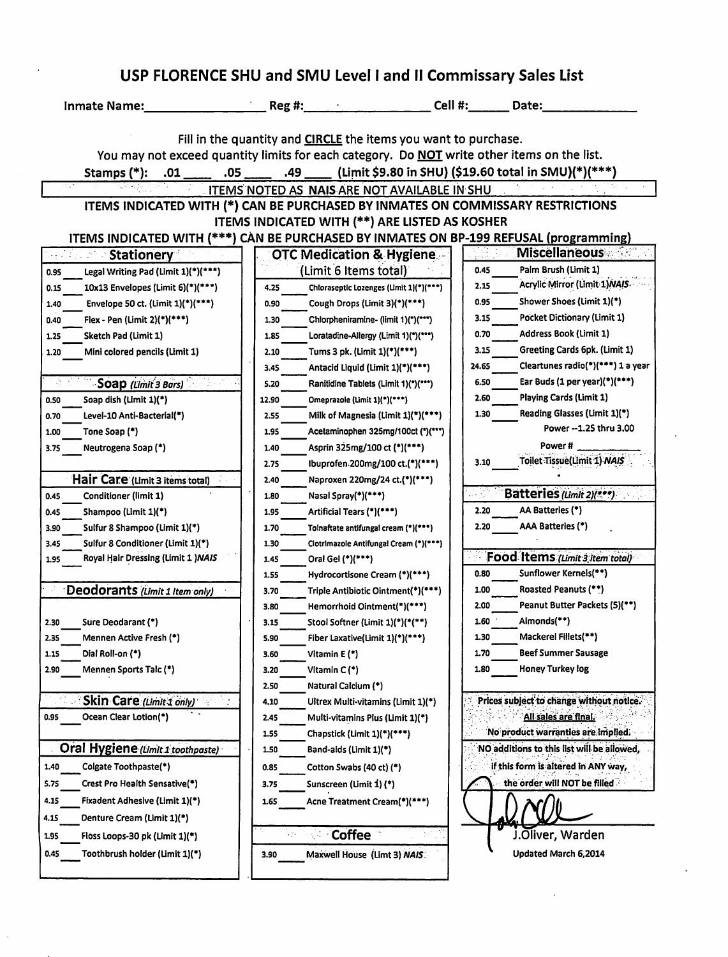| Inmate Name:                                                                                       | $Reg$ #: $\_\_$                                                        | Cell #:                                         | Date:                                                |
|----------------------------------------------------------------------------------------------------|------------------------------------------------------------------------|-------------------------------------------------|------------------------------------------------------|
|                                                                                                    | Fill in the quantity and <b>CIRCLE</b> the items you want to purchase. |                                                 |                                                      |
| You may not exceed quantity limits for each category. Do <b>NOT</b> write other items on the list. |                                                                        |                                                 |                                                      |
| .05<br>Stamps (*):<br>.01                                                                          | .49                                                                    |                                                 | (Limit \$9.80 in SHU) (\$19.60 total in SMU)(*)(***) |
|                                                                                                    | ITEMS NOTED AS NAIS ARE NOT AVAILABLE IN SHU                           |                                                 |                                                      |
| ITEMS INDICATED WITH (*) CAN BE PURCHASED BY INMATES ON COMMISSARY RESTRICTIONS                    |                                                                        |                                                 |                                                      |
|                                                                                                    | ITEMS INDICATED WITH (**) ARE LISTED AS KOSHER                         |                                                 |                                                      |
| ITEMS INDICATED WITH (***) CAN BE PURCHASED BY INMATES ON BP-199 REFUSAL (programming)             |                                                                        |                                                 |                                                      |
| <b>Stationery</b>                                                                                  | <b>OTC Medication &amp; Hygiene.</b>                                   |                                                 | <b>Miscellaneous</b>                                 |
| Legal Writing Pad (Limit 1)(*)(***)<br>0.95                                                        | (Limit 6 Items total)                                                  | 0.45                                            | Palm Brush (Limit 1)                                 |
| 10x13 Envelopes (Limit 6)(*)(***)<br>0.15                                                          | 4.25                                                                   | 2.15<br>Chloraseptic Lozenges (Limit 1)(*)(***) | Acrylic Mirror (Limit 1) NAIS.                       |
| Envelope 50 ct. (Limit 1)(*)(***)<br>1.40                                                          | Cough Drops (Limit 3)(*)(***)<br>0.90                                  | 0.95                                            | Shower Shoes (Limit 1)(*)                            |
| Flex - Pen (Limit 2)(*)(***)<br>0.40                                                               | 1.30                                                                   | 3.15<br>Chlorpheniramine- (limit 1)(*)(***)     | Pocket Dictionary (Limit 1)                          |
| Sketch Pad (Limit 1)<br>1.25                                                                       | 1.85                                                                   | 0.70<br>Loratadine-Allergy (Limit 1)(")(***)    | <b>Address Book (Limit 1)</b>                        |
| Mini colored pencils (Limit 1)<br>1.20                                                             | 2.10<br>Tums 3 pk. (Limit 1)(*)(***)                                   | 3.15                                            | Greeting Cards 6pk. (Limit 1)                        |
|                                                                                                    | 3.45                                                                   | 24.65<br>Antacid Liquid (Limit 1)(*)(***)       | Cleartunes radio(*)(***) 1 a year                    |
| -Soap (Limit 3 Bars)                                                                               | 5.20                                                                   | 6.50<br>Ranitidine Tablets (Limit 1)(")(""")    | Ear Buds (1 per year)(*)(***)                        |
| Soap dish (Limit 1)(*)<br>0.50                                                                     | Omeprazole (Limit 1)(*)(***)<br>12.90                                  | 2.60                                            | Playing Cards (Limit 1)                              |
| Level-10 Anti-Bacterial(*)<br>0.70                                                                 | 2.55                                                                   | 1.30<br>Milk of Magnesia (Limit $1$ )(***)      | Reading Glasses (Limit 1)(*)                         |
| Tone Soap (*)<br>1.00                                                                              | 1.95                                                                   | Acetaminophen 325mg/100ct (*)(***)              | Power -- 1.25 thru 3.00                              |
| Neutrogena Soap (*)<br>3.75                                                                        | Asprin 325mg/100 ct (*)(***)<br>1.40                                   |                                                 | Power #                                              |
|                                                                                                    | 2.75                                                                   | 3.10<br>Ibuprofen 200mg/100 ct.(*)(***)         | Toilet Tissue(Limit 1) NAIS                          |
| Hair Care (Limit 3 items total)                                                                    | 2.40                                                                   | Naproxen 220mg/24 ct.(*)(***)                   |                                                      |
| 0.45<br>Conditioner (limit 1)                                                                      | Nasal Spray $(*)$ (***)<br>1.80                                        | AR.                                             | Batteries (Limit 2) $(***)$                          |
| Shampoo (Limit 1)(*)<br>0.45                                                                       | Artificial Tears (*)(***)<br>1.95                                      | 2.20                                            | AA Batteries (*)                                     |
| Sulfur 8 Shampoo (Limit 1)(*)<br>3.90                                                              | 1.70                                                                   | 2.20<br>Tolnaftate antifungal cream (*)(***)    | AAA Batteries (*)                                    |
| Sulfur 8 Conditioner (Limit 1)(*)<br>3.45                                                          | 1.30                                                                   | Clotrimazole Antifungal Cream (*)(***)          |                                                      |
| Royal Hair Dressing (Limit 1) NAIS<br>1.95                                                         | Oral Gel (*)(***)<br>1.45                                              |                                                 | Food Items (Limit 3 Item total)                      |
|                                                                                                    | 1.55                                                                   | 0.80<br>Hydrocortisone Cream (*)(***)           | Sunflower Kernels(**)                                |
| Deodorants (Limit 1 Item only)                                                                     | 3.70                                                                   | 1.00<br>Triple Antibiotic Ointment(*)(***)      | Roasted Peanuts (**)                                 |
|                                                                                                    | 3.80<br>Hemorrhold Ointment(*)(***)                                    | 2.00                                            | Peanut Butter Packets (5)(**)                        |
| 2.30<br>Sure Deodarant (*)                                                                         | Stool Softner (Limit 1)(*)(*(**)<br>3.15                               | 1.60                                            | Almonds(**)                                          |
| Mennen Active Fresh (*)<br>2.35                                                                    | Fiber Laxative(Limit 1)(*)(***)<br>5.90                                | 1.30                                            | Mackerel Fillets(**)                                 |
| 1.15<br>Dial Roll-on (*)                                                                           | 3.60<br>Vitamin E (*)                                                  | 1.70                                            | <b>Beef Summer Sausage</b>                           |
| 2.90<br>Mennen Sports Talc (*)                                                                     | Vitamin C (*)<br>3.20                                                  | 1.80                                            | <b>Honey Turkey log</b>                              |
|                                                                                                    | Natural Calcium (*)<br>2.50                                            |                                                 |                                                      |
| Skin Care (Limit 1 only)                                                                           | 4.10                                                                   | Ultrex Multi-vitamins (Limit 1)(*)              | Prices subject to change without notice.             |
| Ocean Clear Lotion(*)<br>0.95                                                                      | 2.45                                                                   | Multi-vitamins Plus (Limit 1)(*)                | All sales are final.                                 |
|                                                                                                    | 1.55<br>Chapstick (Limit 1)(*)(***)                                    |                                                 | No product warranties are implied.                   |
| Oral Hygiene (Limit 1 toothpaste)                                                                  | 1.50<br>Band-aids (Limit 1)(*)                                         |                                                 | NO additions to this list will be allowed,           |
| 1.40<br>Colgate Toothpaste(*)                                                                      | 0.85<br>Cotton Swabs (40 ct) (*)                                       |                                                 | if this form is altered in ANY way,                  |
| Crest Pro Health Sensative(*)<br>5.75                                                              | Sunscreen (Limit 1) (*)<br>3.75                                        |                                                 | the order will NOT be filled                         |
| 4.15<br>Fixadent Adhesive (Limit 1)(*)                                                             | 1.65                                                                   | Acne Treatment Cream(*)(***)                    |                                                      |
| Denture Cream (Limit 1)(*)<br>4.15                                                                 |                                                                        |                                                 |                                                      |
| 1.95<br>Floss Loops-30 pk (Limit 1)(*)                                                             | <b>Coffee</b><br>$\sim 10$                                             |                                                 | J.Oliver, Warden                                     |
| 0.45<br>Toothbrush holder (Limit 1)(*)                                                             |                                                                        |                                                 | Updated March 6,2014                                 |
|                                                                                                    | Maxwell House (Limt 3) NAIS<br>3.90                                    |                                                 |                                                      |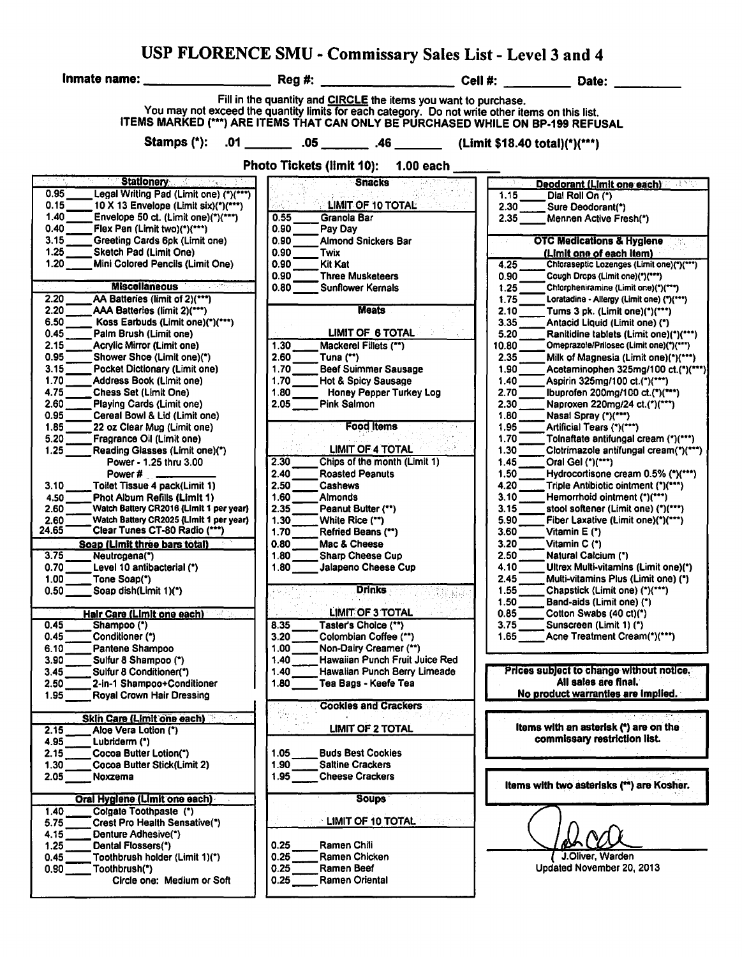|                                                                                                                                                                                                                                                                                                                                                                                                                                                                                                                                                                                                                                                                                                                                                                                                                                                                                                                                                                                                                                                                                                                                                                                                                                                                                                                                                                                                                                                                                                               |                                                                                                                                                                                                                                                                                                                                                                                                                                                                                                                                                                                                                                                                                                                                                                                                                                                                                                                                                                                                                                            | USP FLORENCE SMU - Commissary Sales List - Level 3 and 4                                                                                                                                                                                                                                                                                                                                                                                                                                                                                                                                                                                                                                                                                                                                                                                                                                                                                                                                                                                                                                                                                                                                                                                                                                                                                                                                                                                                                                                                                                                                                                                    |
|---------------------------------------------------------------------------------------------------------------------------------------------------------------------------------------------------------------------------------------------------------------------------------------------------------------------------------------------------------------------------------------------------------------------------------------------------------------------------------------------------------------------------------------------------------------------------------------------------------------------------------------------------------------------------------------------------------------------------------------------------------------------------------------------------------------------------------------------------------------------------------------------------------------------------------------------------------------------------------------------------------------------------------------------------------------------------------------------------------------------------------------------------------------------------------------------------------------------------------------------------------------------------------------------------------------------------------------------------------------------------------------------------------------------------------------------------------------------------------------------------------------|--------------------------------------------------------------------------------------------------------------------------------------------------------------------------------------------------------------------------------------------------------------------------------------------------------------------------------------------------------------------------------------------------------------------------------------------------------------------------------------------------------------------------------------------------------------------------------------------------------------------------------------------------------------------------------------------------------------------------------------------------------------------------------------------------------------------------------------------------------------------------------------------------------------------------------------------------------------------------------------------------------------------------------------------|---------------------------------------------------------------------------------------------------------------------------------------------------------------------------------------------------------------------------------------------------------------------------------------------------------------------------------------------------------------------------------------------------------------------------------------------------------------------------------------------------------------------------------------------------------------------------------------------------------------------------------------------------------------------------------------------------------------------------------------------------------------------------------------------------------------------------------------------------------------------------------------------------------------------------------------------------------------------------------------------------------------------------------------------------------------------------------------------------------------------------------------------------------------------------------------------------------------------------------------------------------------------------------------------------------------------------------------------------------------------------------------------------------------------------------------------------------------------------------------------------------------------------------------------------------------------------------------------------------------------------------------------|
| Inmate name:                                                                                                                                                                                                                                                                                                                                                                                                                                                                                                                                                                                                                                                                                                                                                                                                                                                                                                                                                                                                                                                                                                                                                                                                                                                                                                                                                                                                                                                                                                  | Reg#                                                                                                                                                                                                                                                                                                                                                                                                                                                                                                                                                                                                                                                                                                                                                                                                                                                                                                                                                                                                                                       | Date:                                                                                                                                                                                                                                                                                                                                                                                                                                                                                                                                                                                                                                                                                                                                                                                                                                                                                                                                                                                                                                                                                                                                                                                                                                                                                                                                                                                                                                                                                                                                                                                                                                       |
| Stamps $(*)$ :                                                                                                                                                                                                                                                                                                                                                                                                                                                                                                                                                                                                                                                                                                                                                                                                                                                                                                                                                                                                                                                                                                                                                                                                                                                                                                                                                                                                                                                                                                | Fill in the quantity and CIRCLE the items you want to purchase.                                                                                                                                                                                                                                                                                                                                                                                                                                                                                                                                                                                                                                                                                                                                                                                                                                                                                                                                                                            | You may not exceed the quantity limits for each category. Do not write other items on this list.<br>ITEMS MARKED (***) ARE ITEMS THAT CAN ONLY BE PURCHASED WHILE ON BP-199 REFUSAL                                                                                                                                                                                                                                                                                                                                                                                                                                                                                                                                                                                                                                                                                                                                                                                                                                                                                                                                                                                                                                                                                                                                                                                                                                                                                                                                                                                                                                                         |
|                                                                                                                                                                                                                                                                                                                                                                                                                                                                                                                                                                                                                                                                                                                                                                                                                                                                                                                                                                                                                                                                                                                                                                                                                                                                                                                                                                                                                                                                                                               | <b>Photo Tickets (limit 10):</b>                                                                                                                                                                                                                                                                                                                                                                                                                                                                                                                                                                                                                                                                                                                                                                                                                                                                                                                                                                                                           | $1.00$ each                                                                                                                                                                                                                                                                                                                                                                                                                                                                                                                                                                                                                                                                                                                                                                                                                                                                                                                                                                                                                                                                                                                                                                                                                                                                                                                                                                                                                                                                                                                                                                                                                                 |
|                                                                                                                                                                                                                                                                                                                                                                                                                                                                                                                                                                                                                                                                                                                                                                                                                                                                                                                                                                                                                                                                                                                                                                                                                                                                                                                                                                                                                                                                                                               |                                                                                                                                                                                                                                                                                                                                                                                                                                                                                                                                                                                                                                                                                                                                                                                                                                                                                                                                                                                                                                            |                                                                                                                                                                                                                                                                                                                                                                                                                                                                                                                                                                                                                                                                                                                                                                                                                                                                                                                                                                                                                                                                                                                                                                                                                                                                                                                                                                                                                                                                                                                                                                                                                                             |
| रहाराष्ट्<br>Stationery and the stationary<br>0.95<br>Legal Writing Pad (Limit one) (*)(***)<br>0.15<br>10 X 13 Envelope (Limit six)(*)(***)<br>1.40<br>Envelope 50 ct. (Limit one)(*)(***)<br>0.40<br>Flex Pen (Limit two)(*)(***)<br>3.15<br>Greeting Cards 6pk (Limit one)<br>1.25<br>Sketch Pad (Limit One)<br>$1.20^{-}$<br>Mini Colored Pencils (Limit One)<br><b>Miscellaneous</b><br>2.20<br>AA Batteries (limit of 2)(***)<br>2.20<br>AAA Batteries (limit 2)(***)<br>6.50<br>Koss Earbuds (Limit one)(*)(***)<br>0.45<br>Palm Brush (Limit one)<br>2.15<br>Acrylic Mirror (Limit one)<br>0.95<br>Shower Shoe (Limit one)(*)<br>3.15<br>Pocket Dictionary (Limit one)<br>1.70<br>Address Book (Limit one)<br>4.75<br><b>Chess Set (Limit One)</b><br>2.60<br>Playing Cards (Limit one)<br>0.95<br>Cereal Bowl & Lid (Limit one)<br>1.85<br>22 oz Clear Mug (Limit one)<br>5.20<br>Fragrance Oil (Limit one)<br>1.25<br>Reading Glasses (Limit one)(*)<br>Power - 1.25 thru 3.00<br>3.10<br>Toilet Tissue 4 pack(Limit 1)<br>Phot Album Refills (Limit 1)<br>4.50<br>2.60<br>Watch Battery CR2016 (Limit 1 per year)<br>Watch Battery CR2025 (Limit 1 per year)<br>2.60<br>24.65<br>Clear Tunes CT-80 Radio (***)<br>Soap (Limit three bars total)<br>3.75<br>Neutrogena(*)<br>0.70<br>Level 10 antibacterial (*)<br>1.00<br>Tone Soap(*)<br>$0.50$ $\Box$<br>Soap dish(Limit 1)(*)<br><b>Hair Care (Limit one each)</b><br>0.45<br>Shampoo (*)<br>0.45<br>Conditioner (*)<br>Pantene Shampoo<br>6.10 | <b>Snacks</b><br>LIMIT OF 10 TOTAL<br>0.55<br>Granola Bar<br>0.90<br>Pay Day<br>0.90<br><b>Almond Snickers Bar</b><br>0.90<br>Twix<br>0.90<br>Kit Kat<br>0.90<br><b>Three Musketeers</b><br>0.80<br><b>Sunflower Kernals</b><br><b>Meats</b><br><b>LIMIT OF 6 TOTAL</b><br>1.30<br>Mackerel Fillets (**)<br>2.60<br>Tuna $($ **)<br>1.70<br><b>Beef Suimmer Sausage</b><br>1.70<br><b>Hot &amp; Spicy Sausage</b><br>1.80<br><b>Honey Pepper Turkey Log</b><br>2.05<br><b>Pink Salmon</b><br><b>Food Items</b><br><b>LIMIT OF 4 TOTAL</b><br>2.30<br>Chips of the month (Limit 1)<br><b>Roasted Peanuts</b><br>2.40<br>2.50<br>Cashews<br>1.60<br><b>Almonds</b><br>2.35<br>Peanut Butter (**)<br>1.30<br>White Rice (**)<br>1.70<br>Refried Beans (**)<br>0.80<br>Mac & Cheese<br>1.80<br><b>Sharp Cheese Cup</b><br>1.80<br>Jalapeno Cheese Cup<br><b>Drinks</b><br><b>LIMIT OF 3 TOTAL</b><br>Taster's Choice (**)<br>8.35<br>3.20<br>Colombian Coffee (**)<br>1.00<br>Non-Dairy Creamer (**)<br>1.40<br>Hawaiian Punch Fruit Juice Red | Deodorant (Limit one each)<br>1.15<br>Dial Roll On (*)<br>2.30<br>Sure Deodorant(*)<br>2.35<br>Mennen Active Fresh(*)<br><b>OTC Medications &amp; Hygiene</b><br>(Limit one of each item)<br>4.25<br>Chloraseptic Lozenges (Limit one)(*)(***)<br>0.90<br>Cough Drops (Limit one)(")(""")<br>1.25<br>Chlorpheniramine (Limit one)(*)(***)<br>Loratadine - Allergy (Limit one) (*)(***)<br>1.75<br>2.10<br>Tums 3 pk. (Limit one) $(*)$ (***)<br>3.35<br>Antacid Liquid (Limit one) (*)<br>5.20<br>Ranitidine tablets (Limit one)(*)(***)<br>10.80<br>Omeprazole/Prilosec (Limit one)(*)(***)<br>2.35<br>Milk of Magnesia (Limit one)(*)(***)<br>1.90<br>Acetaminophen 325mg/100 ct.(*)(***)<br>1.40<br>Aspirin 325mg/100 ct.(*)(***)<br>2.70<br>Ibuprofen 200mg/100 ct.(*)(***)<br>2.30<br>Naproxen 220mg/24 ct.(*)(***)<br>1.80<br>Nasal Spray (*)(***)<br>1.95<br>Artificial Tears (*)(***)<br>1.70<br>Tolnaftate antifungal cream (*)(***)<br>1.30<br>Clotrimazole antifungal cream(*)(***)<br>1.45<br>Oral Gel (*)(***)<br>1.50<br>Hydrocortisone cream 0.5% (*)(***)<br>4.20<br>Triple Antibiotic ointment (*)(***)<br>3.10<br>Hemorrhold ointment (*)(***)<br>3.15<br>stool softener (Limit one) (*)(***)<br>5.90<br>Fiber Laxative (Limit one)(*)(***)<br>3.60<br>Vitamin $E(t)$<br>3.20<br>Vitamin C (*)<br>2.50<br>Natural Calcium (*)<br>Ultrex Multi-vitamins (Limit one)(*)<br>4.10<br>2.45<br>Multi-vitamins Plus (Limit one) (*)<br>1.55<br>Chapstick (Limit one) (*)(***)<br>Band-aids (Limit one) (*)<br>1.50<br>0.85<br>Cotton Swabs (40 ct)(*)<br>Sunscreen (Limit 1) (*)<br>3.75<br>Acne Treatment Cream(*)(***)<br>1.65 |
| 3.90<br>Sulfur 8 Shampoo (*)<br>Sulfur 8 Conditioner(*)<br>3.45<br>2-in-1 Shampoo+Conditioner<br>2.50<br>Royal Crown Hair Dressing<br>1.95                                                                                                                                                                                                                                                                                                                                                                                                                                                                                                                                                                                                                                                                                                                                                                                                                                                                                                                                                                                                                                                                                                                                                                                                                                                                                                                                                                    | 1.40<br>Hawaiian Punch Berry Limeade<br>1.80<br>Tea Bags - Keefe Tea<br><b>Cookies and Crackers</b>                                                                                                                                                                                                                                                                                                                                                                                                                                                                                                                                                                                                                                                                                                                                                                                                                                                                                                                                        | Prices subject to change without notice.<br>All sales are final.<br>No product warranties are implied.                                                                                                                                                                                                                                                                                                                                                                                                                                                                                                                                                                                                                                                                                                                                                                                                                                                                                                                                                                                                                                                                                                                                                                                                                                                                                                                                                                                                                                                                                                                                      |
| <b>Skin Care (Limit one each)</b><br>2.15<br>Aloe Vera Lotion (*)<br>4.95<br>Lubriderm (*)<br>Cocoa Butter Lotion(*)<br>2.15<br>1.30<br>Cocoa Butter Stick(Limit 2)                                                                                                                                                                                                                                                                                                                                                                                                                                                                                                                                                                                                                                                                                                                                                                                                                                                                                                                                                                                                                                                                                                                                                                                                                                                                                                                                           | <b>LIMIT OF 2 TOTAL</b><br><b>Buds Best Cookies</b><br>1.05<br>1.90<br><b>Saltine Crackers</b>                                                                                                                                                                                                                                                                                                                                                                                                                                                                                                                                                                                                                                                                                                                                                                                                                                                                                                                                             | Items with an asterisk (*) are on the<br>commissary restriction list.                                                                                                                                                                                                                                                                                                                                                                                                                                                                                                                                                                                                                                                                                                                                                                                                                                                                                                                                                                                                                                                                                                                                                                                                                                                                                                                                                                                                                                                                                                                                                                       |
| 2.05<br>Noxzema<br>Oral Hygiene (Limit one each)                                                                                                                                                                                                                                                                                                                                                                                                                                                                                                                                                                                                                                                                                                                                                                                                                                                                                                                                                                                                                                                                                                                                                                                                                                                                                                                                                                                                                                                              | 1.95<br><b>Cheese Crackers</b><br><b>Soups</b>                                                                                                                                                                                                                                                                                                                                                                                                                                                                                                                                                                                                                                                                                                                                                                                                                                                                                                                                                                                             | Items with two asterisks (**) are Kosher.                                                                                                                                                                                                                                                                                                                                                                                                                                                                                                                                                                                                                                                                                                                                                                                                                                                                                                                                                                                                                                                                                                                                                                                                                                                                                                                                                                                                                                                                                                                                                                                                   |
| Colgate Toothpaste (*)<br>1.40<br>Crest Pro Health Sensative(*)<br>5.75<br>4.15<br>Denture Adhesive(*)<br>1.25<br>Dental Flossers(*)<br>Toothbrush holder (Limit 1)(*)<br>0.45<br>0.90 <sub>1</sub><br>Toothbrush(*)<br>Circle one: Medium or Soft                                                                                                                                                                                                                                                                                                                                                                                                                                                                                                                                                                                                                                                                                                                                                                                                                                                                                                                                                                                                                                                                                                                                                                                                                                                            | LIMIT OF 10 TOTAL<br>0.25<br>Ramen Chili<br>0.25<br>Ramen Chicken<br>0.25<br>Ramen Beef<br>0.25<br>Ramen Oriental                                                                                                                                                                                                                                                                                                                                                                                                                                                                                                                                                                                                                                                                                                                                                                                                                                                                                                                          | J.Oliver, Warden<br>Updated November 20, 2013                                                                                                                                                                                                                                                                                                                                                                                                                                                                                                                                                                                                                                                                                                                                                                                                                                                                                                                                                                                                                                                                                                                                                                                                                                                                                                                                                                                                                                                                                                                                                                                               |